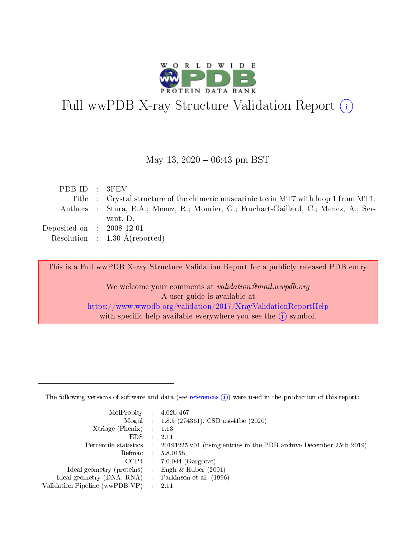

# Full wwPDB X-ray Structure Validation Report (i)

#### May 13,  $2020 - 06:43$  pm BST

| PDBID : 3FEV                |                                                                                       |
|-----------------------------|---------------------------------------------------------------------------------------|
|                             | Title : Crystal structure of the chimeric muscarinic toxin MT7 with loop 1 from MT1.  |
|                             | Authors : Stura, E.A.; Menez, R.; Mourier, G.; Fruchart-Gaillard, C.; Menez, A.; Ser- |
|                             | vant, D.                                                                              |
| Deposited on : $2008-12-01$ |                                                                                       |
|                             | Resolution : $1.30 \text{ Å}$ (reported)                                              |

This is a Full wwPDB X-ray Structure Validation Report for a publicly released PDB entry.

We welcome your comments at validation@mail.wwpdb.org A user guide is available at <https://www.wwpdb.org/validation/2017/XrayValidationReportHelp> with specific help available everywhere you see the  $(i)$  symbol.

The following versions of software and data (see [references](https://www.wwpdb.org/validation/2017/XrayValidationReportHelp#references)  $(1)$ ) were used in the production of this report:

| $MolProbability$ 4.02b-467                          |               |                                                                                            |
|-----------------------------------------------------|---------------|--------------------------------------------------------------------------------------------|
|                                                     |               | Mogul : $1.8.5$ (274361), CSD as 541be (2020)                                              |
| Xtriage (Phenix) $: 1.13$                           |               |                                                                                            |
| EDS.                                                | $\mathcal{L}$ | -2.11                                                                                      |
|                                                     |               | Percentile statistics : 20191225.v01 (using entries in the PDB archive December 25th 2019) |
|                                                     |               | Refmac $5.8.0158$                                                                          |
| CCP4                                                |               | $7.0.044$ (Gargrove)                                                                       |
| Ideal geometry (proteins)                           | $\sim$        | Engh $\&$ Huber (2001)                                                                     |
| Ideal geometry (DNA, RNA) : Parkinson et al. (1996) |               |                                                                                            |
| Validation Pipeline (wwPDB-VP) : 2.11               |               |                                                                                            |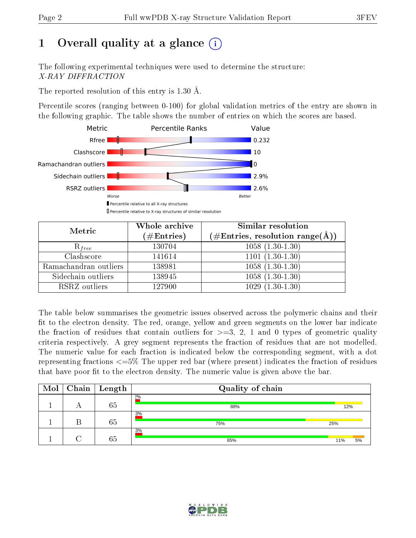## 1 [O](https://www.wwpdb.org/validation/2017/XrayValidationReportHelp#overall_quality)verall quality at a glance  $(i)$

The following experimental techniques were used to determine the structure: X-RAY DIFFRACTION

The reported resolution of this entry is 1.30 Å.

Percentile scores (ranging between 0-100) for global validation metrics of the entry are shown in the following graphic. The table shows the number of entries on which the scores are based.



| Metric                | Whole archive<br>$(\#\text{Entries})$ | Similar resolution<br>$(\#\text{Entries},\,\text{resolution}\,\,\text{range}(\textup{\AA}))$ |  |  |
|-----------------------|---------------------------------------|----------------------------------------------------------------------------------------------|--|--|
| $R_{free}$            | 130704                                | $1058(1.30-1.30)$                                                                            |  |  |
| Clashscore            | 141614                                | $1101(1.30-1.30)$                                                                            |  |  |
| Ramachandran outliers | 138981                                | $\overline{1058 \ (1.30-1.30)}$                                                              |  |  |
| Sidechain outliers    | 138945                                | $1058(1.30-1.30)$                                                                            |  |  |
| RSRZ outliers         | 127900                                | $1029(1.30-1.30)$                                                                            |  |  |

The table below summarises the geometric issues observed across the polymeric chains and their fit to the electron density. The red, orange, yellow and green segments on the lower bar indicate the fraction of residues that contain outliers for  $>=3, 2, 1$  and 0 types of geometric quality criteria respectively. A grey segment represents the fraction of residues that are not modelled. The numeric value for each fraction is indicated below the corresponding segment, with a dot representing fractions  $\epsilon=5\%$  The upper red bar (where present) indicates the fraction of residues that have poor fit to the electron density. The numeric value is given above the bar.

| Mol | Chain | Length | Quality of chain |     |    |  |  |  |
|-----|-------|--------|------------------|-----|----|--|--|--|
|     |       | 65     | $2\%$<br>88%     | 12% |    |  |  |  |
|     |       | 65     | 3%<br>75%        | 25% |    |  |  |  |
|     |       | 65     | 3%<br>85%        | 11% | 5% |  |  |  |

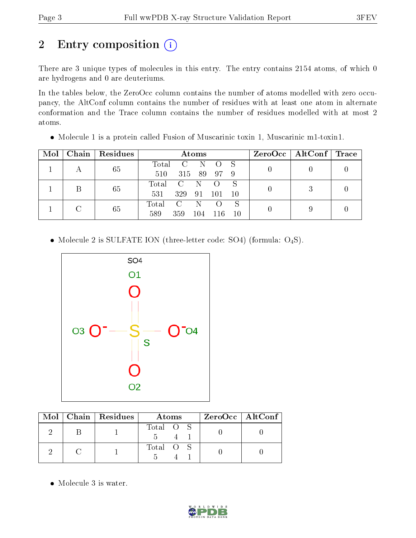## 2 Entry composition (i)

There are 3 unique types of molecules in this entry. The entry contains 2154 atoms, of which 0 are hydrogens and 0 are deuteriums.

In the tables below, the ZeroOcc column contains the number of atoms modelled with zero occupancy, the AltConf column contains the number of residues with at least one atom in alternate conformation and the Trace column contains the number of residues modelled with at most 2 atoms.

| Mol | Chain | Residues | Atoms |               |     |      |    | $ZeroOcc \mid AltConf \mid$ | $\blacksquare$ Trace |
|-----|-------|----------|-------|---------------|-----|------|----|-----------------------------|----------------------|
|     | 65    |          | Total | $\mathcal{C}$ | N.  |      |    |                             |                      |
|     |       |          | 510   | 315           | -89 | - 97 | -9 |                             |                      |
|     |       | 65       | Total | $\mathcal{C}$ | N   |      |    |                             |                      |
|     |       |          | 531   | 329           | 91  | 101  | 10 |                             |                      |
|     |       |          | Total | $\mathcal{C}$ |     |      | S  |                             |                      |
|     | 65    | 589      | 359   | 104           | 116 | 10   |    |                             |                      |

Molecule 1 is a protein called Fusion of Muscarinic toxin 1, Muscarinic m1-toxin1.

• Molecule 2 is SULFATE ION (three-letter code: SO4) (formula: O<sub>4</sub>S).



|  | Mol   Chain   Residues | Atoms     | $ZeroOcc \mid AltConf \mid$ |
|--|------------------------|-----------|-----------------------------|
|  |                        | Total O S |                             |
|  |                        | Total O S |                             |

Molecule 3 is water.

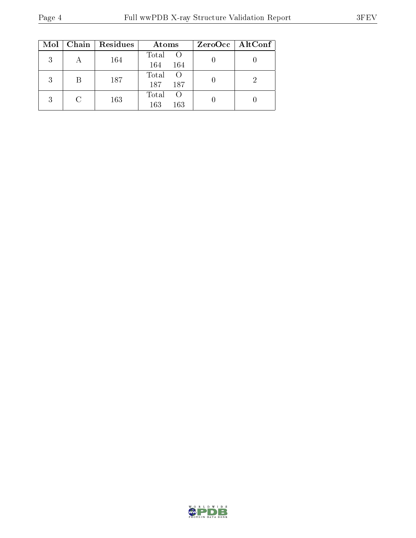|   |   | $Mol$   Chain   Residues | Atoms                                | ZeroOcc   AltConf |
|---|---|--------------------------|--------------------------------------|-------------------|
| 3 |   | 164                      | Total O<br>164<br>164                |                   |
| 3 | В | 187                      | Total<br>- ()<br>187<br>187          |                   |
| २ |   | 163                      | Total<br><sup>()</sup><br>163<br>163 |                   |

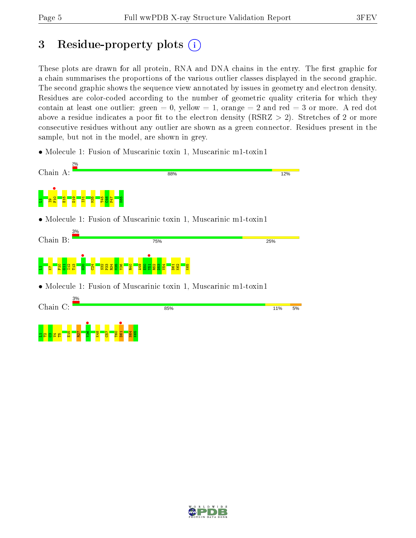## 3 Residue-property plots  $(i)$

These plots are drawn for all protein, RNA and DNA chains in the entry. The first graphic for a chain summarises the proportions of the various outlier classes displayed in the second graphic. The second graphic shows the sequence view annotated by issues in geometry and electron density. Residues are color-coded according to the number of geometric quality criteria for which they contain at least one outlier: green  $= 0$ , yellow  $= 1$ , orange  $= 2$  and red  $= 3$  or more. A red dot above a residue indicates a poor fit to the electron density (RSRZ  $> 2$ ). Stretches of 2 or more consecutive residues without any outlier are shown as a green connector. Residues present in the sample, but not in the model, are shown in grey.

• Molecule 1: Fusion of Muscarinic toxin 1, Muscarinic m1-toxin1



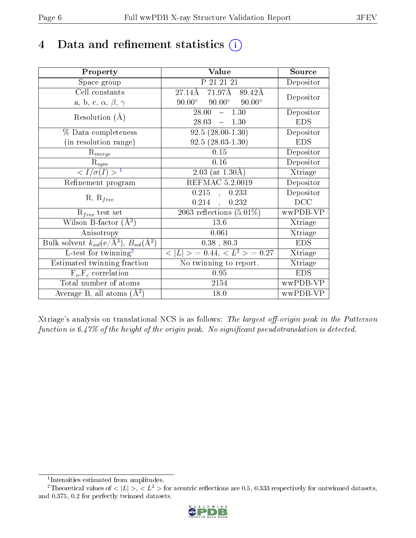## 4 Data and refinement statistics  $(i)$

| Property                                                         | Value                                           | Source     |
|------------------------------------------------------------------|-------------------------------------------------|------------|
| Space group                                                      | P 21 21 21                                      | Depositor  |
| Cell constants                                                   | 71.97 <sub>A</sub><br>27.14Å<br>89.42Å          | Depositor  |
| a, b, c, $\alpha$ , $\beta$ , $\gamma$                           | $90.00^\circ$<br>$90.00^\circ$<br>$90.00^\circ$ |            |
| Resolution $(A)$                                                 | 28.00<br>$-1.30$                                | Depositor  |
|                                                                  | 28.03<br>$-1.30$                                | <b>EDS</b> |
| % Data completeness                                              | $92.5(28.00-1.30)$                              | Depositor  |
| (in resolution range)                                            | $92.5(28.03-1.30)$                              | <b>EDS</b> |
| $R_{merge}$                                                      | 0.15                                            | Depositor  |
| $\mathrm{R}_{sym}$                                               | 0.16                                            | Depositor  |
| $\langle I/\sigma(I) \rangle^{-1}$                               | $2.03$ (at $1.30\text{\AA}$ )                   | Xtriage    |
| Refinement program                                               | REFMAC 5.2.0019                                 | Depositor  |
| $R, R_{free}$                                                    | 0.215<br>0.233<br>$\ddot{\phantom{a}}$          | Depositor  |
|                                                                  | 0.214<br>0.232<br>$\ddot{\phantom{a}}$          | DCC        |
| $R_{free}$ test set                                              | $\overline{2063}$ reflections $(5.01\%)$        | wwPDB-VP   |
| Wilson B-factor $(A^2)$                                          | 13.6                                            | Xtriage    |
| Anisotropy                                                       | 0.061                                           | Xtriage    |
| Bulk solvent $k_{sol}(\text{e}/\text{A}^3), B_{sol}(\text{A}^2)$ | $0.38$ , $80.3$                                 | <b>EDS</b> |
| L-test for $\overline{\text{twinning}}^2$                        | $< L >$ = 0.44, $< L2$ > = 0.27                 | Xtriage    |
| Estimated twinning fraction                                      | $\overline{\text{No}}$ twinning to report.      | Xtriage    |
| $F_o, F_c$ correlation                                           | 0.95                                            | <b>EDS</b> |
| Total number of atoms                                            | 2154                                            | wwPDB-VP   |
| Average B, all atoms $(A^2)$                                     | 18.0                                            | wwPDB-VP   |

Xtriage's analysis on translational NCS is as follows: The largest off-origin peak in the Patterson function is  $6.47\%$  of the height of the origin peak. No significant pseudotranslation is detected.

<sup>&</sup>lt;sup>2</sup>Theoretical values of  $\langle |L| \rangle$ ,  $\langle L^2 \rangle$  for acentric reflections are 0.5, 0.333 respectively for untwinned datasets, and 0.375, 0.2 for perfectly twinned datasets.



<span id="page-5-1"></span><span id="page-5-0"></span><sup>1</sup> Intensities estimated from amplitudes.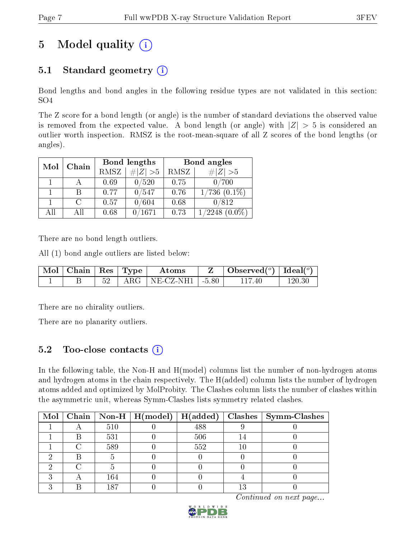## 5 Model quality  $(i)$

## 5.1 Standard geometry  $(i)$

Bond lengths and bond angles in the following residue types are not validated in this section: SO4

The Z score for a bond length (or angle) is the number of standard deviations the observed value is removed from the expected value. A bond length (or angle) with  $|Z| > 5$  is considered an outlier worth inspection. RMSZ is the root-mean-square of all Z scores of the bond lengths (or angles).

| Mol | Chain         |             | Bond lengths | Bond angles |                   |  |
|-----|---------------|-------------|--------------|-------------|-------------------|--|
|     |               | <b>RMSZ</b> | $\ Z\  > 5$  | RMSZ        | # $ Z >5$         |  |
|     |               | 0.69        | 0/520        | 0.75        | 0/700             |  |
|     |               | 0.77        | 0/547        | 0.76        | $1/736$ $(0.1\%)$ |  |
|     | $\mathcal{C}$ | 0.57        | 0/604        | 0.68        | 0/812             |  |
| AП  | All           | 0.68        | 1671         | 0.73        | $\sqrt{2248}$     |  |

There are no bond length outliers.

All (1) bond angle outliers are listed below:

| $\sqrt{\text{Mol}}$ Chain   Res   Type |  | Atoms                          | $\mid$ Observed $({}^o)\mid$ Ideal $({}^o)$ |        |
|----------------------------------------|--|--------------------------------|---------------------------------------------|--------|
|                                        |  | $52$   ARG   NE-CZ-NH1   -5.80 | 117 40                                      | 120.30 |

There are no chirality outliers.

There are no planarity outliers.

### 5.2 Too-close contacts  $\overline{a}$

In the following table, the Non-H and H(model) columns list the number of non-hydrogen atoms and hydrogen atoms in the chain respectively. The H(added) column lists the number of hydrogen atoms added and optimized by MolProbity. The Clashes column lists the number of clashes within the asymmetric unit, whereas Symm-Clashes lists symmetry related clashes.

|  |     | Mol   Chain   Non-H   $H (model)$   $H (added)$ |     | $\vert$ Clashes $\vert$ Symm-Clashes |
|--|-----|-------------------------------------------------|-----|--------------------------------------|
|  | 510 |                                                 | 488 |                                      |
|  | 531 |                                                 | 506 |                                      |
|  | 589 |                                                 | 552 |                                      |
|  |     |                                                 |     |                                      |
|  |     |                                                 |     |                                      |
|  | 164 |                                                 |     |                                      |
|  | 187 |                                                 |     |                                      |

Continued on next page...

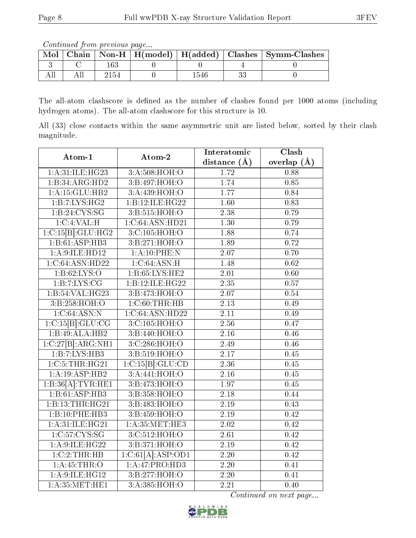Continued from previous page...

| Mol |  |     | Chain   Non-H   H(model)   H(added)   Clashes   Symm-Clashes |
|-----|--|-----|--------------------------------------------------------------|
|     |  |     |                                                              |
|     |  | 54t |                                                              |

The all-atom clashscore is defined as the number of clashes found per 1000 atoms (including hydrogen atoms). The all-atom clashscore for this structure is 10.

All (33) close contacts within the same asymmetric unit are listed below, sorted by their clash magnitude.

| Atom-1             | Atom-2                       | Interatomic       | $\overline{\text{Clash}}$ |  |
|--------------------|------------------------------|-------------------|---------------------------|--|
|                    |                              | distance $(A)$    | overlap $(\AA)$           |  |
| 1: A:31: ILE: HG23 | 3:A:508:HOH:O                | 1.72              | 0.88                      |  |
| 1:B:34:ARG:HD2     | 3:B:497:HOH:O                | 1.74              | 0.85                      |  |
| 1:A:15:GLU:HB2     | 3:A:439:HOH:O                | 1.77              | 0.84                      |  |
| 1:B:7:LYS:HG2      | $1:B:12:ILE:\overline{HG22}$ | 1.60              | 0.83                      |  |
| 1:B:24:CYS:SG      | 3:B:515:HOH:O                | 2.38              | 0.79                      |  |
| 1:C:4:VAL:H        | 1:C:64:ASN:HD21              | 1.30              | 0.79                      |  |
| 1:C:15[B]:GLU:HG2  | 3:C:105:HOH:O                | 1.88              | 0.74                      |  |
| 1:B:61:ASP:HB3     | 3:B:271:HOH:O                | 1.89              | 0.72                      |  |
| 1:A:9:ILE:HD12     | 1:A:10:PHE:N                 | 2.07              | 0.70                      |  |
| 1:C:64:ASN:HD22    | 1:C:64:ASN:H                 | 1.48              | $\overline{0.62}$         |  |
| 1: B:62: LYS:O     | 1:B:65:LYS:HE2               | 2.01              | 0.60                      |  |
| 1:B:7:LYS:CG       | 1:B:12:ILE:HG22              | $\overline{2.35}$ | 0.57                      |  |
| 1:B:54:VAL:HG23    | 3:B:473:HOH:O                | 2.07              | 0.54                      |  |
| 3:B:258:HOH:O      | 1:C:60:THR:HB                | 2.13              | 0.49                      |  |
| 1:C:64:ASN:N       | 1:C:64:ASN:HD22              | 2.11              | 0.49                      |  |
| 1:C:15[B]:GLU:CG   | 3:C:105:HOH:O                | 2.56              | 0.47                      |  |
| 1:B:49:ALA:HB2     | 3:B:440:HOH:O                | 2.16              | 0.46                      |  |
| 1:C:27[B]:ARG:NH1  | 3:C:286:HOH:O                | $\overline{2.49}$ | 0.46                      |  |
| 1:B:7:LYS:HB3      | 3:B:519:HOH:O                | 2.17              | 0.45                      |  |
| 1:C:5:THR:HG21     | 1:C:15[B]:GLU:CD             | 2.36              | 0.45                      |  |
| 1:A:19:ASP:HB2     | 3: A:441:HOH:O               | 2.16              | 0.45                      |  |
| 1:B:36[A]:TYR:HE1  | 3:Bi:473:HOH:O               | 1.97              | $\overline{0.45}$         |  |
| 1:B:61:ASP:HB3     | 3:B:358:HOH:O                | 2.18              | 0.44                      |  |
| 1:B:13:THR:HG21    | 3:B:483:HOH:O                | $2.19\,$          | 0.43                      |  |
| 1:B:10:PHE:HB3     | 3:B:459:HOH:O                | 2.19              | 0.42                      |  |
| 1: A:31: ILE: HG21 | 1: A:35:MET:HE3              | 2.02              | 0.42                      |  |
| 1:C:57:CYS:SG      | 3:C:512:HOH:O                | 2.61              | $\overline{0.42}$         |  |
| 1: A:9: ILE:HG22   | 3:B:371:HOH:O                | 2.19              | 0.42                      |  |
| 1:C:2:THR:HB       | 1:C:61[A]:ASP:OD1            | 2.20              | $\overline{0.42}$         |  |
| 1: A:45:THR:O      | 1:A:47:PRO:HD3               | 2.20              | 0.41                      |  |
| 1: A:9: ILE: HG12  | 3:BT.277:HOH:O               | $\overline{2.20}$ | 0.41                      |  |
| 1: A:35:MET:HE1    | 3:A:385:HOH:O                | $\overline{2.21}$ | 0.40                      |  |

Continued on next page...

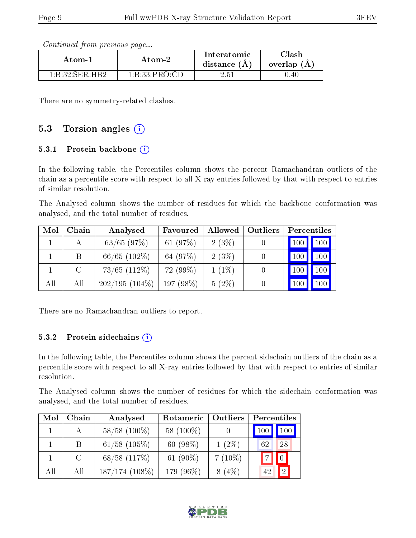Continued from previous page...

| Atom-1                                   | Atom-2        | Interatomic<br>distance $(A)$ | $_{\rm Classh}$<br>overlap (A) |
|------------------------------------------|---------------|-------------------------------|--------------------------------|
| $1 \cdot R \cdot 32 \cdot SFR \cdot HR2$ | 1:B:33:PRO:CD | $2.51\,$                      | 0.40                           |

There are no symmetry-related clashes.

### 5.3 Torsion angles  $(i)$

#### 5.3.1 Protein backbone  $(i)$

In the following table, the Percentiles column shows the percent Ramachandran outliers of the chain as a percentile score with respect to all X-ray entries followed by that with respect to entries of similar resolution.

The Analysed column shows the number of residues for which the backbone conformation was analysed, and the total number of residues.

| Mol | Chain | Analysed          | Favoured   | Allowed  | Outliers | Percentiles |                  |
|-----|-------|-------------------|------------|----------|----------|-------------|------------------|
|     |       | $63/65$ $(97%)$   | 61 $(97%)$ | $2(3\%)$ |          |             | 100              |
|     | B     | $66/65$ $(102\%)$ | 64 (97%)   | $2(3\%)$ |          |             | 100 <sub>h</sub> |
|     | C     | $73/65$ $(112\%)$ | $72(99\%)$ | $1(1\%)$ |          |             | 100              |
| All | All   | $202/195(104\%)$  | 197 (98%)  | $5(2\%)$ |          |             |                  |

There are no Ramachandran outliers to report.

#### 5.3.2 Protein sidechains  $(i)$

In the following table, the Percentiles column shows the percent sidechain outliers of the chain as a percentile score with respect to all X-ray entries followed by that with respect to entries of similar resolution.

The Analysed column shows the number of residues for which the sidechain conformation was analysed, and the total number of residues.

| Mol | Chain         | Analysed          | Rotameric<br><b>Outliers</b> |           | Percentiles  |     |  |
|-----|---------------|-------------------|------------------------------|-----------|--------------|-----|--|
|     | $\mathbf{A}$  | $58/58$ (100\%)   | 58 (100\%)                   |           | $\sqrt{100}$ | 100 |  |
|     | B             | $61/58$ $(105\%)$ | 60 $(98\%)$                  | $1(2\%)$  | 62           | 28  |  |
|     | $\mathcal{C}$ | $68/58$ $(117%)$  | 61 $(90\%)$                  | $7(10\%)$ |              |     |  |
| All | All           | $187/174$ (108\%) | 179 (96%)                    | $8(4\%)$  |              | 2   |  |

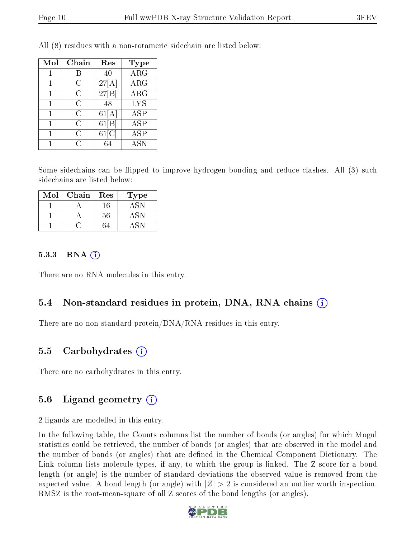| Mol          | Chain | Res      | <b>Type</b>             |
|--------------|-------|----------|-------------------------|
|              |       | 40       | $\overline{\text{ARG}}$ |
|              | C     | 27[A]    | $\rm{ARG}$              |
| $\mathbf{1}$ | С     | 27[B]    | <b>ARG</b>              |
| 1            | C     | 48       | <b>LYS</b>              |
|              | С     | 61[A]    | <b>ASP</b>              |
|              | С     | 61 B     | <b>ASP</b>              |
|              | С     | $61$ [C] | $\overline{\text{ASP}}$ |
|              | ſ .   |          | <b>ASN</b>              |

All (8) residues with a non-rotameric sidechain are listed below:

Some sidechains can be flipped to improve hydrogen bonding and reduce clashes. All (3) such sidechains are listed below:

| Mol | Chain | $\operatorname{Res}% \left( \mathcal{N}\right) \equiv\operatorname{Res}(\mathcal{N}_{0})\left( \mathcal{N}_{0}\right) ^{2}$ | Type |
|-----|-------|-----------------------------------------------------------------------------------------------------------------------------|------|
|     |       | 16                                                                                                                          |      |
|     |       | $56\,$                                                                                                                      |      |
|     |       |                                                                                                                             |      |

#### 5.3.3 RNA  $(i)$

There are no RNA molecules in this entry.

#### 5.4 Non-standard residues in protein, DNA, RNA chains  $(i)$

There are no non-standard protein/DNA/RNA residues in this entry.

### 5.5 Carbohydrates  $(i)$

There are no carbohydrates in this entry.

#### 5.6 Ligand geometry  $(i)$

2 ligands are modelled in this entry.

In the following table, the Counts columns list the number of bonds (or angles) for which Mogul statistics could be retrieved, the number of bonds (or angles) that are observed in the model and the number of bonds (or angles) that are defined in the Chemical Component Dictionary. The Link column lists molecule types, if any, to which the group is linked. The Z score for a bond length (or angle) is the number of standard deviations the observed value is removed from the expected value. A bond length (or angle) with  $|Z| > 2$  is considered an outlier worth inspection. RMSZ is the root-mean-square of all Z scores of the bond lengths (or angles).

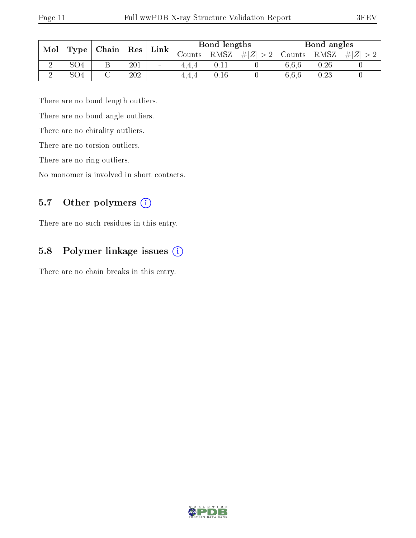| Mol |     | $\mid$ Type   Chain  <br>$\mid$ Res |     |                          |          |      | $\mathop{\rm Link}\nolimits$ |        | Bond lengths |     |  | Bond angles |  |
|-----|-----|-------------------------------------|-----|--------------------------|----------|------|------------------------------|--------|--------------|-----|--|-------------|--|
|     |     |                                     |     |                          | Counts - | RMSZ | # $ Z  > 2$                  | Counts | RMSZ         | H Z |  |             |  |
|     | SO4 | Β                                   | 201 | $\sim$                   | 4.4.4    |      |                              | 6,6,6  | 0.26         |     |  |             |  |
|     | SO4 |                                     | 202 | $\overline{\phantom{a}}$ | 4.4.4    | 0.16 |                              | 6.6.6  | 0.23         |     |  |             |  |

There are no bond length outliers.

There are no bond angle outliers.

There are no chirality outliers.

There are no torsion outliers.

There are no ring outliers.

No monomer is involved in short contacts.

### 5.7 [O](https://www.wwpdb.org/validation/2017/XrayValidationReportHelp#nonstandard_residues_and_ligands)ther polymers (i)

There are no such residues in this entry.

### 5.8 Polymer linkage issues (i)

There are no chain breaks in this entry.

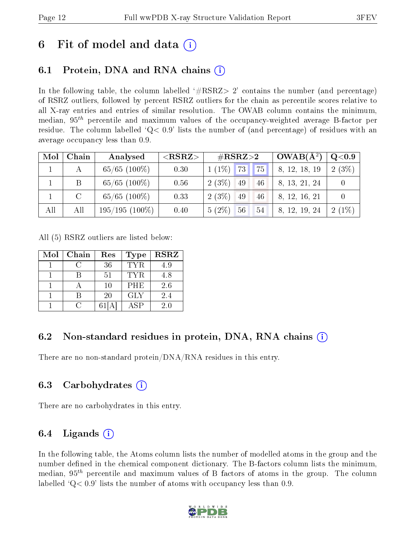## 6 Fit of model and data  $\left( \cdot \right)$

## 6.1 Protein, DNA and RNA chains (i)

In the following table, the column labelled  $#RSRZ>2'$  contains the number (and percentage) of RSRZ outliers, followed by percent RSRZ outliers for the chain as percentile scores relative to all X-ray entries and entries of similar resolution. The OWAB column contains the minimum, median,  $95<sup>th</sup>$  percentile and maximum values of the occupancy-weighted average B-factor per residue. The column labelled  $Q< 0.9$  lists the number of (and percentage) of residues with an average occupancy less than 0.9.

| Mol | Chain | Analysed          | ${ <\hspace{-1.5pt}{\mathrm{RSRZ}} \hspace{-1.5pt}>}$ | $\#\text{RSRZ}{>}2$  | $OWAB(A^2)$   | $\rm Q\textcolor{black}{<}0.9$ |
|-----|-------|-------------------|-------------------------------------------------------|----------------------|---------------|--------------------------------|
|     |       | $65/65$ (100\%)   | 0.30                                                  | $1(1\%)$ 73 75       | 8, 12, 18, 19 | $2(3\%)$                       |
|     |       | $65/65$ $(100\%)$ | 0.56                                                  | $2(3\%)$<br>49<br>46 | 8, 13, 21, 24 |                                |
|     |       | $65/65$ $(100\%)$ | 0.33                                                  | $2(3\%)$<br>49<br>46 | 8, 12, 16, 21 |                                |
| All | All   | $195/195(100\%)$  | 0.40                                                  | $5(2\%)$<br>56<br>54 | 8, 12, 19, 24 | $2(1\%)$                       |

All (5) RSRZ outliers are listed below:

| Mol | Chain | Res    | <b>Type</b> | <b>RSRZ</b> |
|-----|-------|--------|-------------|-------------|
|     |       | 36     | TYR.        | 4.9         |
|     |       | 51     | <b>TYR</b>  | 4.8         |
|     |       | $10\,$ | PHE         | 2.6         |
|     |       | 20     | <b>GLY</b>  | 2.4         |
|     |       |        | ASP         | 2.0         |

### 6.2 Non-standard residues in protein, DNA, RNA chains  $(i)$

There are no non-standard protein/DNA/RNA residues in this entry.

### 6.3 Carbohydrates (i)

There are no carbohydrates in this entry.

### 6.4 Ligands  $(i)$

In the following table, the Atoms column lists the number of modelled atoms in the group and the number defined in the chemical component dictionary. The B-factors column lists the minimum, median,  $95<sup>th</sup>$  percentile and maximum values of B factors of atoms in the group. The column labelled  $Q< 0.9$  lists the number of atoms with occupancy less than 0.9.